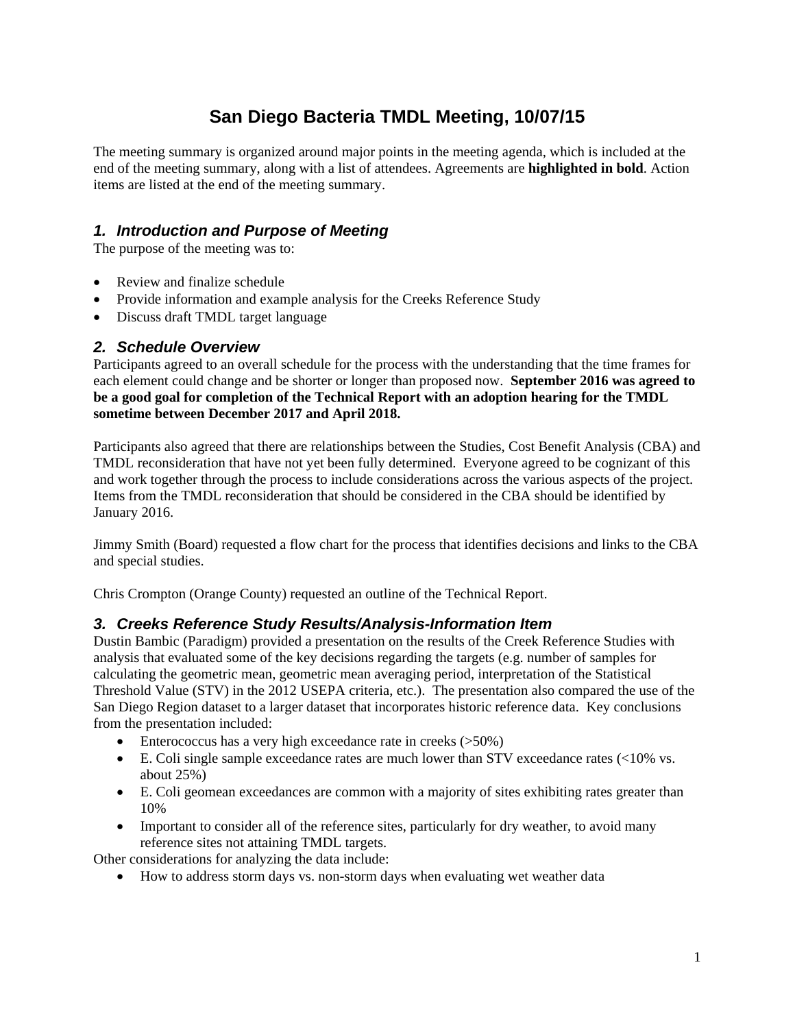## **San Diego Bacteria TMDL Meeting, 10/07/15**

The meeting summary is organized around major points in the meeting agenda, which is included at the end of the meeting summary, along with a list of attendees. Agreements are **highlighted in bold**. Action items are listed at the end of the meeting summary.

### *1. Introduction and Purpose of Meeting*

The purpose of the meeting was to:

- Review and finalize schedule
- Provide information and example analysis for the Creeks Reference Study
- Discuss draft TMDL target language

#### *2. Schedule Overview*

Participants agreed to an overall schedule for the process with the understanding that the time frames for each element could change and be shorter or longer than proposed now. **September 2016 was agreed to be a good goal for completion of the Technical Report with an adoption hearing for the TMDL sometime between December 2017 and April 2018.** 

Participants also agreed that there are relationships between the Studies, Cost Benefit Analysis (CBA) and TMDL reconsideration that have not yet been fully determined. Everyone agreed to be cognizant of this and work together through the process to include considerations across the various aspects of the project. Items from the TMDL reconsideration that should be considered in the CBA should be identified by January 2016.

Jimmy Smith (Board) requested a flow chart for the process that identifies decisions and links to the CBA and special studies.

Chris Crompton (Orange County) requested an outline of the Technical Report.

#### *3. Creeks Reference Study Results/Analysis-Information Item*

Dustin Bambic (Paradigm) provided a presentation on the results of the Creek Reference Studies with analysis that evaluated some of the key decisions regarding the targets (e.g. number of samples for calculating the geometric mean, geometric mean averaging period, interpretation of the Statistical Threshold Value (STV) in the 2012 USEPA criteria, etc.). The presentation also compared the use of the San Diego Region dataset to a larger dataset that incorporates historic reference data. Key conclusions from the presentation included:

- Enterococcus has a very high exceedance rate in creeks (>50%)
- $\bullet$  E. Coli single sample exceedance rates are much lower than STV exceedance rates (<10% vs. about 25%)
- E. Coli geomean exceedances are common with a majority of sites exhibiting rates greater than 10%
- Important to consider all of the reference sites, particularly for dry weather, to avoid many reference sites not attaining TMDL targets.

Other considerations for analyzing the data include:

How to address storm days vs. non-storm days when evaluating wet weather data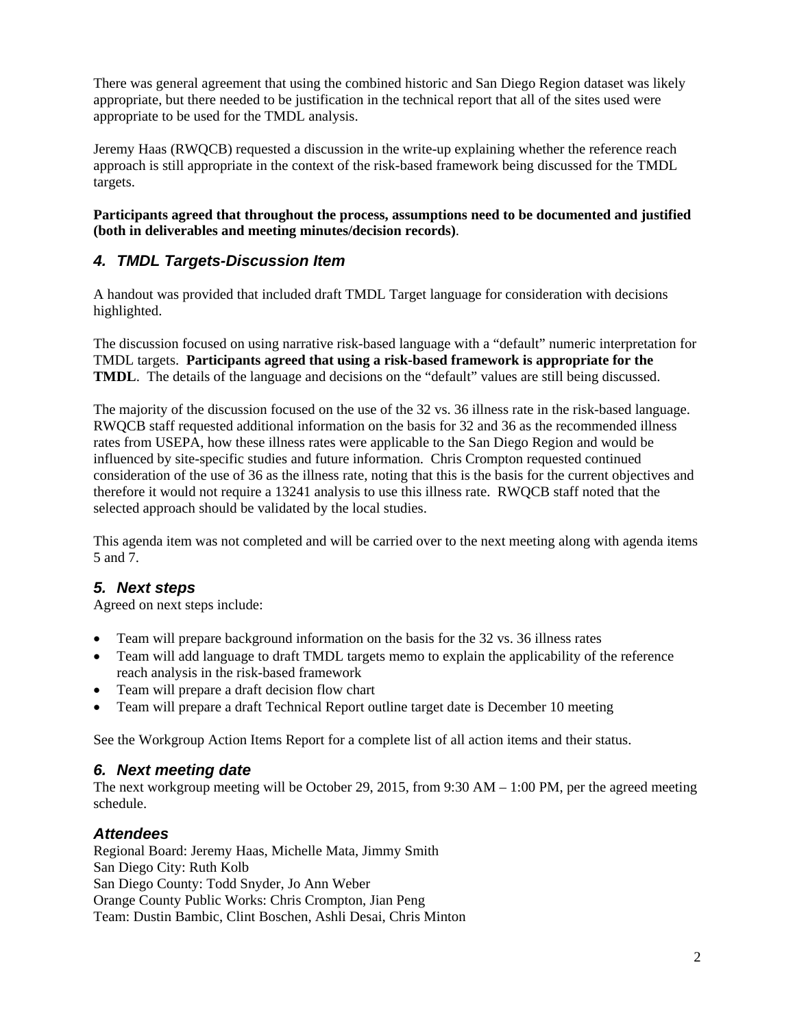There was general agreement that using the combined historic and San Diego Region dataset was likely appropriate, but there needed to be justification in the technical report that all of the sites used were appropriate to be used for the TMDL analysis.

Jeremy Haas (RWQCB) requested a discussion in the write-up explaining whether the reference reach approach is still appropriate in the context of the risk-based framework being discussed for the TMDL targets.

**Participants agreed that throughout the process, assumptions need to be documented and justified (both in deliverables and meeting minutes/decision records)**.

## *4. TMDL Targets-Discussion Item*

A handout was provided that included draft TMDL Target language for consideration with decisions highlighted.

The discussion focused on using narrative risk-based language with a "default" numeric interpretation for TMDL targets. **Participants agreed that using a risk-based framework is appropriate for the TMDL**. The details of the language and decisions on the "default" values are still being discussed.

The majority of the discussion focused on the use of the 32 vs. 36 illness rate in the risk-based language. RWQCB staff requested additional information on the basis for 32 and 36 as the recommended illness rates from USEPA, how these illness rates were applicable to the San Diego Region and would be influenced by site-specific studies and future information. Chris Crompton requested continued consideration of the use of 36 as the illness rate, noting that this is the basis for the current objectives and therefore it would not require a 13241 analysis to use this illness rate. RWQCB staff noted that the selected approach should be validated by the local studies.

This agenda item was not completed and will be carried over to the next meeting along with agenda items 5 and 7.

#### *5. Next steps*

Agreed on next steps include:

- Team will prepare background information on the basis for the 32 vs. 36 illness rates
- Team will add language to draft TMDL targets memo to explain the applicability of the reference reach analysis in the risk-based framework
- Team will prepare a draft decision flow chart
- Team will prepare a draft Technical Report outline target date is December 10 meeting

See the Workgroup Action Items Report for a complete list of all action items and their status.

#### *6. Next meeting date*

The next workgroup meeting will be October 29, 2015, from 9:30 AM – 1:00 PM, per the agreed meeting schedule.

#### *Attendees*

Regional Board: Jeremy Haas, Michelle Mata, Jimmy Smith San Diego City: Ruth Kolb San Diego County: Todd Snyder, Jo Ann Weber Orange County Public Works: Chris Crompton, Jian Peng Team: Dustin Bambic, Clint Boschen, Ashli Desai, Chris Minton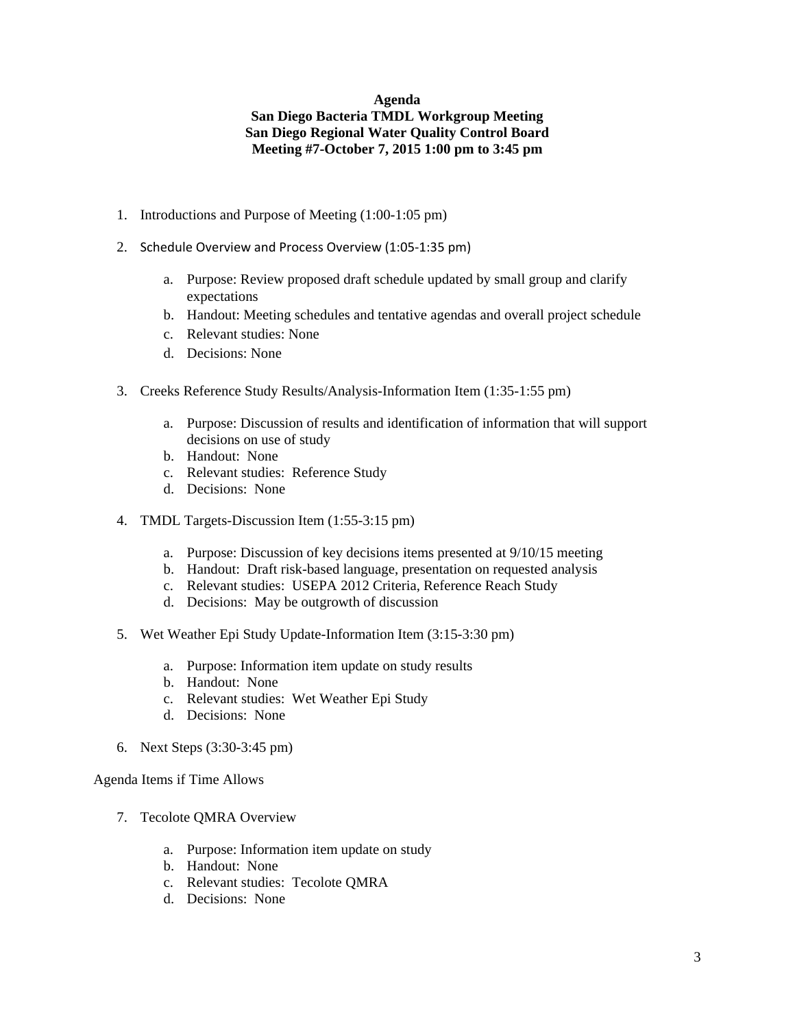#### **Agenda San Diego Bacteria TMDL Workgroup Meeting San Diego Regional Water Quality Control Board Meeting #7-October 7, 2015 1:00 pm to 3:45 pm**

- 1. Introductions and Purpose of Meeting (1:00-1:05 pm)
- 2. Schedule Overview and Process Overview (1:05‐1:35 pm)
	- a. Purpose: Review proposed draft schedule updated by small group and clarify expectations
	- b. Handout: Meeting schedules and tentative agendas and overall project schedule
	- c. Relevant studies: None
	- d. Decisions: None
- 3. Creeks Reference Study Results/Analysis-Information Item (1:35-1:55 pm)
	- a. Purpose: Discussion of results and identification of information that will support decisions on use of study
	- b. Handout: None
	- c. Relevant studies: Reference Study
	- d. Decisions: None
- 4. TMDL Targets-Discussion Item (1:55-3:15 pm)
	- a. Purpose: Discussion of key decisions items presented at 9/10/15 meeting
	- b. Handout: Draft risk-based language, presentation on requested analysis
	- c. Relevant studies: USEPA 2012 Criteria, Reference Reach Study
	- d. Decisions: May be outgrowth of discussion
- 5. Wet Weather Epi Study Update-Information Item (3:15-3:30 pm)
	- a. Purpose: Information item update on study results
	- b. Handout: None
	- c. Relevant studies: Wet Weather Epi Study
	- d. Decisions: None
- 6. Next Steps (3:30-3:45 pm)

#### Agenda Items if Time Allows

- 7. Tecolote QMRA Overview
	- a. Purpose: Information item update on study
	- b. Handout: None
	- c. Relevant studies: Tecolote QMRA
	- d. Decisions: None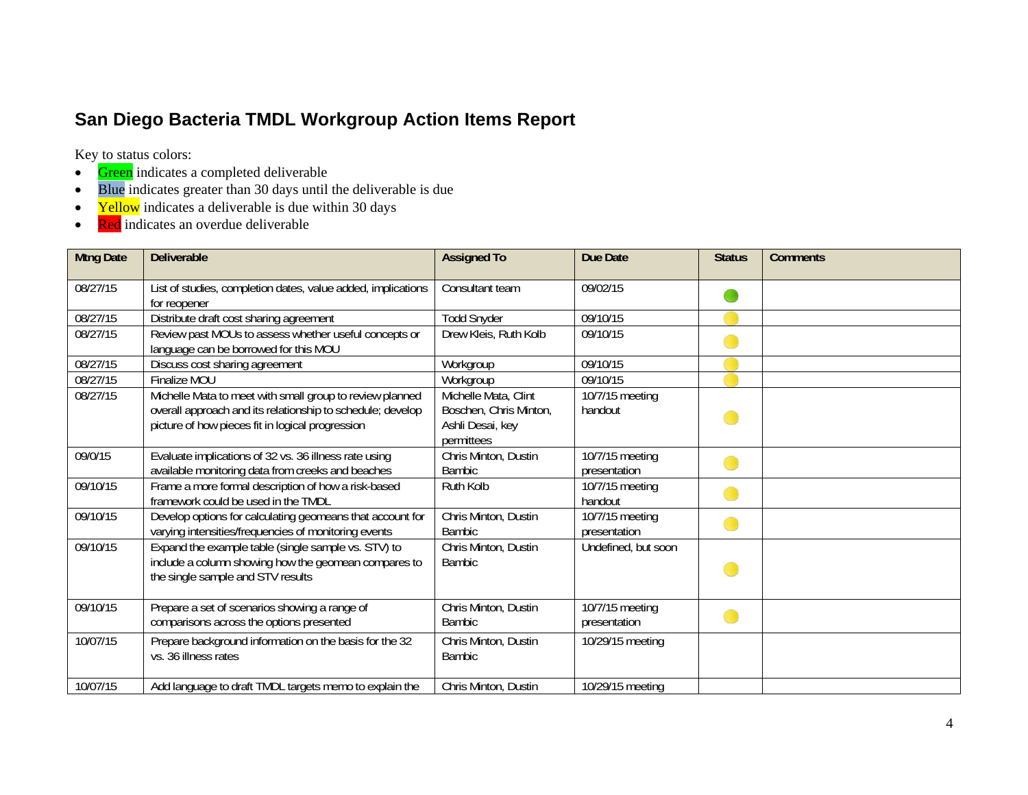# **San Diego Bacteria TMDL Workgroup Action Items Report**

Key to status colors:

- $\bullet$ Green indicates a completed deliverable
- Blue indicates greater than 30 days until the deliverable is due
- $\bullet$ Yellow indicates a deliverable is due within 30 days
- $\bullet$ Red indicates an overdue deliverable

| <b>Mtng Date</b> | <b>Deliverable</b>                                           | <b>Assigned To</b>     | <b>Due Date</b>     | <b>Status</b> | <b>Comments</b> |
|------------------|--------------------------------------------------------------|------------------------|---------------------|---------------|-----------------|
|                  |                                                              |                        |                     |               |                 |
| 08/27/15         | List of studies, completion dates, value added, implications | Consultant team        | 09/02/15            |               |                 |
|                  | for reopener                                                 |                        |                     |               |                 |
| 08/27/15         | Distribute draft cost sharing agreement                      | <b>Todd Snyder</b>     | 09/10/15            |               |                 |
| 08/27/15         | Review past MOUs to assess whether useful concepts or        | Drew Kleis, Ruth Kolb  | 09/10/15            |               |                 |
|                  | language can be borrowed for this MOU                        |                        |                     |               |                 |
| 08/27/15         | Discuss cost sharing agreement                               | Workgroup              | 09/10/15            |               |                 |
| 08/27/15         | Finalize MOU                                                 | Workgroup              | 09/10/15            |               |                 |
| 08/27/15         | Michelle Mata to meet with small group to review planned     | Michelle Mata, Clint   | 10/7/15 meeting     |               |                 |
|                  | overall approach and its relationship to schedule; develop   | Boschen, Chris Minton, | handout             |               |                 |
|                  | picture of how pieces fit in logical progression             | Ashli Desai, key       |                     |               |                 |
|                  |                                                              | permittees             |                     |               |                 |
| 09/0/15          | Evaluate implications of 32 vs. 36 illness rate using        | Chris Minton, Dustin   | 10/7/15 meeting     |               |                 |
|                  | available monitoring data from creeks and beaches            | Bambic                 | presentation        |               |                 |
| 09/10/15         | Frame a more formal description of how a risk-based          | Ruth Kolb              | 10/7/15 meeting     |               |                 |
|                  | framework could be used in the TMDL                          |                        | handout             |               |                 |
| 09/10/15         | Develop options for calculating geomeans that account for    | Chris Minton, Dustin   | 10/7/15 meeting     |               |                 |
|                  | varying intensities/frequencies of monitoring events         | Bambic                 | presentation        |               |                 |
| 09/10/15         | Expand the example table (single sample vs. STV) to          | Chris Minton, Dustin   | Undefined, but soon |               |                 |
|                  | include a column showing how the geomean compares to         | <b>Bambic</b>          |                     |               |                 |
|                  | the single sample and STV results                            |                        |                     |               |                 |
|                  |                                                              |                        |                     |               |                 |
| 09/10/15         | Prepare a set of scenarios showing a range of                | Chris Minton, Dustin   | 10/7/15 meeting     |               |                 |
|                  | comparisons across the options presented                     | <b>Bambic</b>          | presentation        |               |                 |
| 10/07/15         | Prepare background information on the basis for the 32       | Chris Minton, Dustin   | 10/29/15 meeting    |               |                 |
|                  | vs. 36 illness rates                                         | <b>Bambic</b>          |                     |               |                 |
|                  |                                                              |                        |                     |               |                 |
| 10/07/15         | Add language to draft TMDL targets memo to explain the       | Chris Minton, Dustin   | 10/29/15 meeting    |               |                 |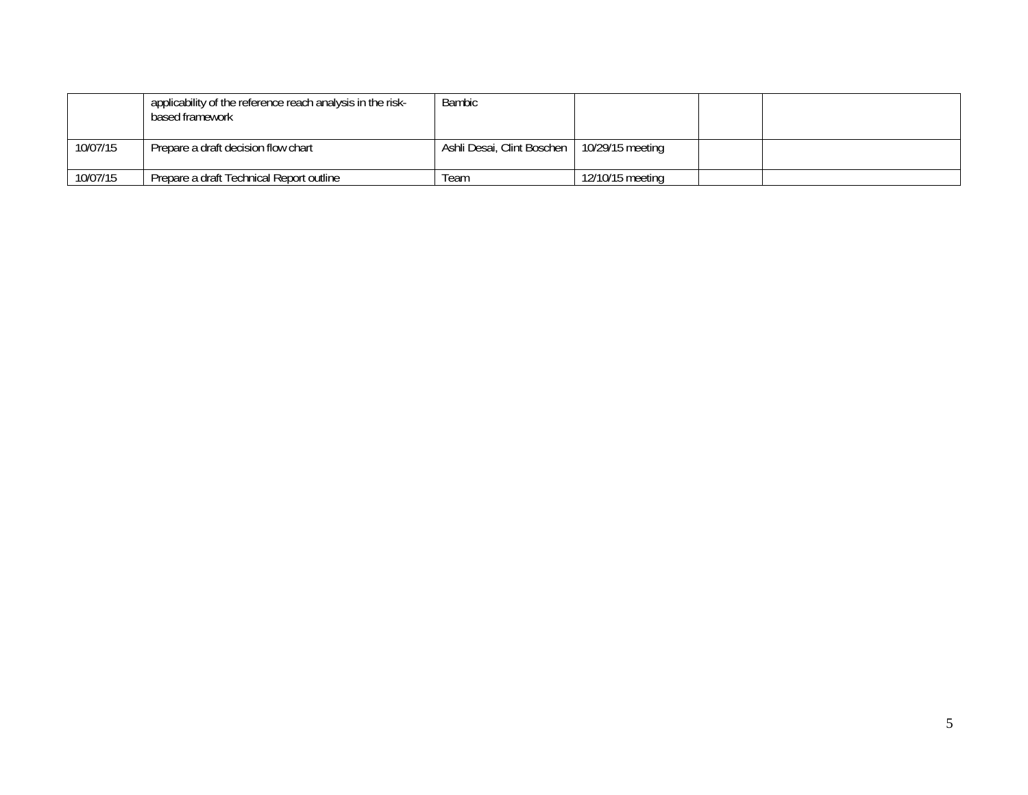|          | applicability of the reference reach analysis in the risk-<br>based framework | <b>Bambic</b>              |                  |  |
|----------|-------------------------------------------------------------------------------|----------------------------|------------------|--|
| 10/07/15 | Prepare a draft decision flow chart                                           | Ashli Desai, Clint Boschen | 10/29/15 meeting |  |
| 10/07/15 | Prepare a draft Technical Report outline                                      | Team                       | 12/10/15 meeting |  |